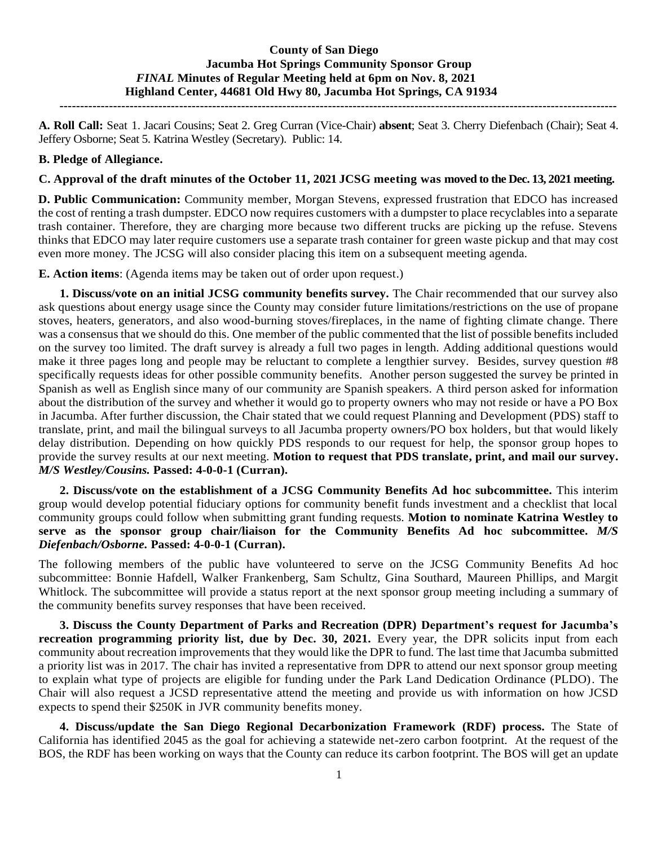# **County of San Diego Jacumba Hot Springs Community Sponsor Group** *FINAL* **Minutes of Regular Meeting held at 6pm on Nov. 8, 2021 Highland Center, 44681 Old Hwy 80, Jacumba Hot Springs, CA 91934**

**---------------------------------------------------------------------------------------------------------------------------------------**

**A. Roll Call:** Seat 1. Jacari Cousins; Seat 2. Greg Curran (Vice-Chair) **absent**; Seat 3. Cherry Diefenbach (Chair); Seat 4. Jeffery Osborne; Seat 5. Katrina Westley (Secretary). Public: 14.

## **B. Pledge of Allegiance.**

#### **C. Approval of the draft minutes of the October 11, 2021 JCSG meeting was moved to the Dec. 13, 2021 meeting.**

**D. Public Communication:** Community member, Morgan Stevens, expressed frustration that EDCO has increased the cost of renting a trash dumpster. EDCO now requires customers with a dumpster to place recyclables into a separate trash container. Therefore, they are charging more because two different trucks are picking up the refuse. Stevens thinks that EDCO may later require customers use a separate trash container for green waste pickup and that may cost even more money. The JCSG will also consider placing this item on a subsequent meeting agenda.

**E. Action items**: (Agenda items may be taken out of order upon request.)

**1. Discuss/vote on an initial JCSG community benefits survey.** The Chair recommended that our survey also ask questions about energy usage since the County may consider future limitations/restrictions on the use of propane stoves, heaters, generators, and also wood-burning stoves/fireplaces, in the name of fighting climate change. There was a consensus that we should do this. One member of the public commented that the list of possible benefits included on the survey too limited. The draft survey is already a full two pages in length. Adding additional questions would make it three pages long and people may be reluctant to complete a lengthier survey. Besides, survey question #8 specifically requests ideas for other possible community benefits. Another person suggested the survey be printed in Spanish as well as English since many of our community are Spanish speakers. A third person asked for information about the distribution of the survey and whether it would go to property owners who may not reside or have a PO Box in Jacumba. After further discussion, the Chair stated that we could request Planning and Development (PDS) staff to translate, print, and mail the bilingual surveys to all Jacumba property owners/PO box holders, but that would likely delay distribution. Depending on how quickly PDS responds to our request for help, the sponsor group hopes to provide the survey results at our next meeting. **Motion to request that PDS translate, print, and mail our survey.** *M/S Westley/Cousins.* **Passed: 4-0-0-1 (Curran).**

**2. Discuss/vote on the establishment of a JCSG Community Benefits Ad hoc subcommittee.** This interim group would develop potential fiduciary options for community benefit funds investment and a checklist that local community groups could follow when submitting grant funding requests. **Motion to nominate Katrina Westley to serve as the sponsor group chair/liaison for the Community Benefits Ad hoc subcommittee.** *M/S Diefenbach/Osborne.* **Passed: 4-0-0-1 (Curran).** 

The following members of the public have volunteered to serve on the JCSG Community Benefits Ad hoc subcommittee: Bonnie Hafdell, Walker Frankenberg, Sam Schultz, Gina Southard, Maureen Phillips, and Margit Whitlock. The subcommittee will provide a status report at the next sponsor group meeting including a summary of the community benefits survey responses that have been received.

**3. Discuss the County Department of Parks and Recreation (DPR) Department's request for Jacumba's recreation programming priority list, due by Dec. 30, 2021.** Every year, the DPR solicits input from each community about recreation improvements that they would like the DPR to fund. The last time that Jacumba submitted a priority list was in 2017. The chair has invited a representative from DPR to attend our next sponsor group meeting to explain what type of projects are eligible for funding under the Park Land Dedication Ordinance (PLDO). The Chair will also request a JCSD representative attend the meeting and provide us with information on how JCSD expects to spend their \$250K in JVR community benefits money.

**4. Discuss/update the San Diego Regional Decarbonization Framework (RDF) process.** The State of California has identified 2045 as the goal for achieving a statewide net-zero carbon footprint. At the request of the BOS, the RDF has been working on ways that the County can reduce its carbon footprint. The BOS will get an update